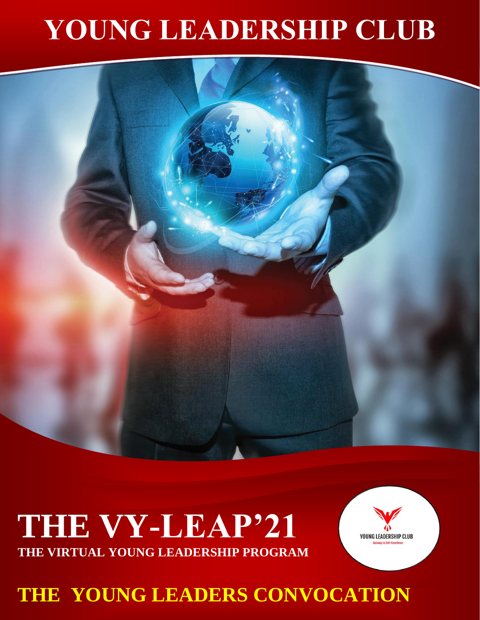## **YOUNG LEADERSHIP CLUB**



## **THE VY-LEAP'21 THE VIRTUAL YOUNG LEADERSHIP PROGRAM**



**THE YOUNG LEADERS CONVOCATION**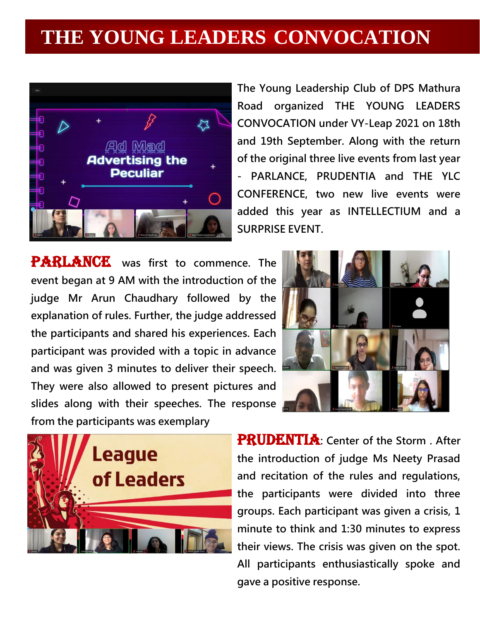## **THE YOUNG LEADERS CONVOCATION**



**The Young Leadership Club of DPS Mathura Road organized THE YOUNG LEADERS CONVOCATION under VY-Leap 2021 on 18th and 19th September. Along with the return of the original three live events from last year - PARLANCE, PRUDENTIA and THE YLC CONFERENCE, two new live events were added this year as INTELLECTIUM and a SURPRISE EVENT.**

 **slides along with their speeches. The response**  PARLANCE was first to commence. The **event began at 9 AM with the introduction of the judge Mr Arun Chaudhary followed by the explanation of rules. Further, the judge addressed the participants and shared his experiences. Each participant was provided with a topic in advance and was given 3 minutes to deliver their speech. They were also allowed to present pictures and from the participants was exemplary**



PRUDENTIA**: Center of the Storm . After the introduction of judge Ms Neety Prasad and recitation of the rules and regulations, the participants were divided into three groups. Each participant was given a crisis, 1 minute to think and 1:30 minutes to express their views. The crisis was given on the spot. All participants enthusiastically spoke and gave a positive response.**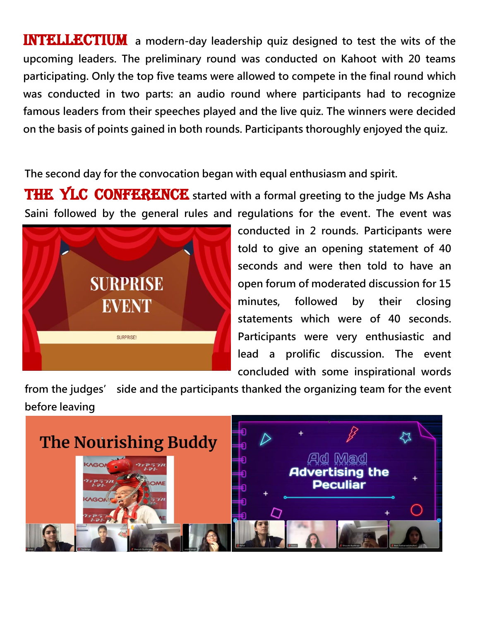**INTELLECTIUM** a modern-day leadership quiz designed to test the wits of the **upcoming leaders. The preliminary round was conducted on Kahoot with 20 teams participating. Only the top five teams were allowed to compete in the final round which was conducted in two parts: an audio round where participants had to recognize famous leaders from their speeches played and the live quiz. The winners were decided on the basis of points gained in both rounds. Participants thoroughly enjoyed the quiz.**

**The second day for the convocation began with equal enthusiasm and spirit.** 

THE YLC CONFERENCE started with a formal greeting to the judge Ms Asha **Saini followed by the general rules and regulations for the event. The event was** 



**conducted in 2 rounds. Participants were told to give an opening statement of 40 seconds and were then told to have an open forum of moderated discussion for 15 minutes, followed by their closing statements which were of 40 seconds. Participants were very enthusiastic and lead a prolific discussion. The event concluded with some inspirational words** 

**from the judges' side and the participants thanked the organizing team for the event before leaving**